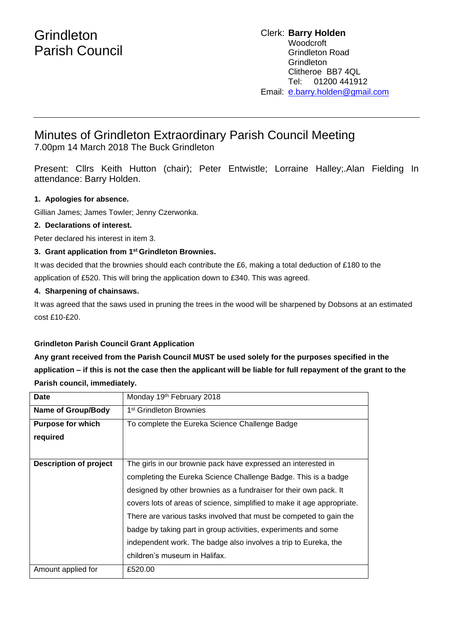# **Grindleton** Parish Council

#### Clerk: **Barry Holden** Woodcroft Grindleton Road **Grindleton** Clitheroe BB7 4QL Tel: 01200 441912 Email: [e](mailto:edwardbholden@yahoo.co.uk).barry.holden@gmail.com

## Minutes of Grindleton Extraordinary Parish Council Meeting 7.00pm 14 March 2018 The Buck Grindleton

Present: Cllrs Keith Hutton (chair); Peter Entwistle; Lorraine Halley;.Alan Fielding In attendance: Barry Holden.

### **1. Apologies for absence.**

Gillian James; James Towler; Jenny Czerwonka.

#### **2. Declarations of interest.**

Peter declared his interest in item 3.

#### **3. Grant application from 1st Grindleton Brownies.**

It was decided that the brownies should each contribute the £6, making a total deduction of £180 to the application of £520. This will bring the application down to £340. This was agreed.

#### **4. Sharpening of chainsaws.**

It was agreed that the saws used in pruning the trees in the wood will be sharpened by Dobsons at an estimated cost £10-£20.

#### **Grindleton Parish Council Grant Application**

**Any grant received from the Parish Council MUST be used solely for the purposes specified in the application – if this is not the case then the applicant will be liable for full repayment of the grant to the Parish council, immediately.**

| Date                      | Monday 19th February 2018                                               |
|---------------------------|-------------------------------------------------------------------------|
| <b>Name of Group/Body</b> | 1 <sup>st</sup> Grindleton Brownies                                     |
| <b>Purpose for which</b>  | To complete the Eureka Science Challenge Badge                          |
| required                  |                                                                         |
|                           |                                                                         |
| Description of project    | The girls in our brownie pack have expressed an interested in           |
|                           | completing the Eureka Science Challenge Badge. This is a badge          |
|                           | designed by other brownies as a fundraiser for their own pack. It       |
|                           | covers lots of areas of science, simplified to make it age appropriate. |
|                           | There are various tasks involved that must be competed to gain the      |
|                           | badge by taking part in group activities, experiments and some          |
|                           | independent work. The badge also involves a trip to Eureka, the         |
|                           | children's museum in Halifax.                                           |
| Amount applied for        | £520.00                                                                 |